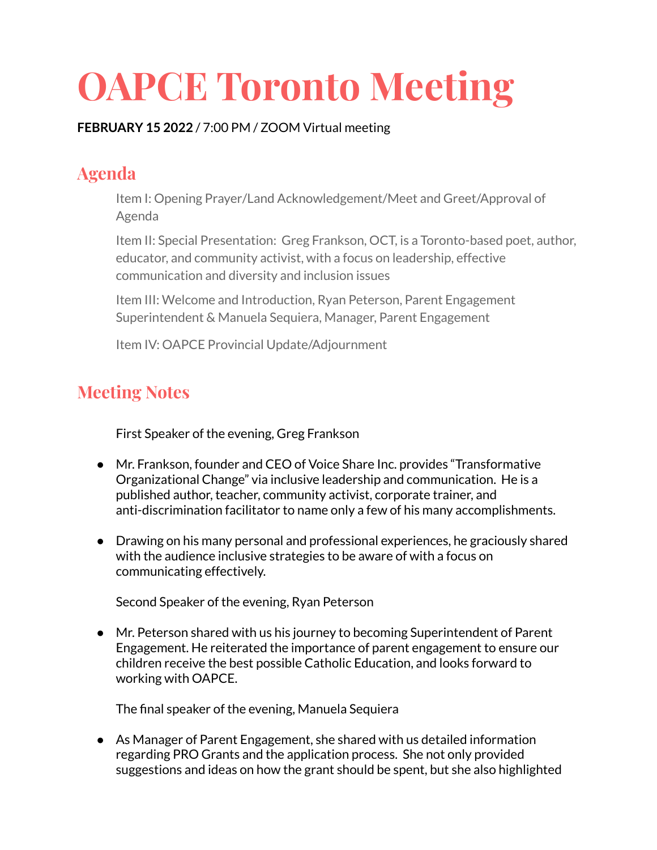## **OAPCE Toronto Meeting**

## **FEBRUARY 15 2022** / 7:00 PM / ZOOM Virtual meeting

## **Agenda**

Item I: Opening Prayer/Land Acknowledgement/Meet and Greet/Approval of Agenda

Item II: Special Presentation: Greg Frankson, OCT, is a Toronto-based poet, author, educator, and community activist, with a focus on leadership, effective communication and diversity and inclusion issues

Item III: Welcome and Introduction, Ryan Peterson, Parent Engagement Superintendent & Manuela Sequiera, Manager, Parent Engagement

Item IV: OAPCE Provincial Update/Adjournment

## **Meeting Notes**

First Speaker of the evening, Greg Frankson

- Mr. Frankson, founder and CEO of Voice Share Inc. provides "Transformative Organizational Change" via inclusive leadership and communication. He is a published author, teacher, community activist, corporate trainer, and anti-discrimination facilitator to name only a few of his many accomplishments.
- Drawing on his many personal and professional experiences, he graciously shared with the audience inclusive strategies to be aware of with a focus on communicating effectively.

Second Speaker of the evening, Ryan Peterson

● Mr. Peterson shared with us his journey to becoming Superintendent of Parent Engagement. He reiterated the importance of parent engagement to ensure our children receive the best possible Catholic Education, and looks forward to working with OAPCE.

The final speaker of the evening, Manuela Sequiera

● As Manager of Parent Engagement, she shared with us detailed information regarding PRO Grants and the application process. She not only provided suggestions and ideas on how the grant should be spent, but she also highlighted